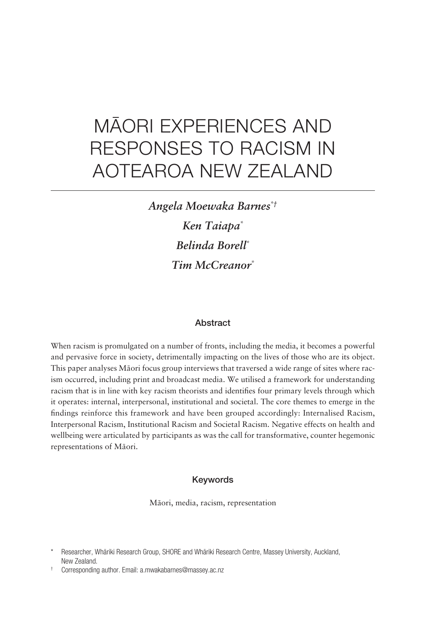# MÄORI EXPERIENCES AND RESPONSES TO RACISM IN AOTEAROA NEW ZEALAND

*Angela Moewaka Barnes\*† Ken Taiapa\* Belinda Borell\* Tim McCreanor\**

# **Abstract**

When racism is promulgated on a number of fronts, including the media, it becomes a powerful and pervasive force in society, detrimentally impacting on the lives of those who are its object. This paper analyses Mäori focus group interviews that traversed a wide range of sites where racism occurred, including print and broadcast media. We utilised a framework for understanding racism that is in line with key racism theorists and identifies four primary levels through which it operates: internal, interpersonal, institutional and societal. The core themes to emerge in the findings reinforce this framework and have been grouped accordingly: Internalised Racism, Interpersonal Racism, Institutional Racism and Societal Racism. Negative effects on health and wellbeing were articulated by participants as was the call for transformative, counter hegemonic representations of Mäori.

#### Keywords

Mäori, media, racism, representation

<sup>\*</sup> Researcher, Whäriki Research Group, SHORE and Whäriki Research Centre, Massey University, Auckland, New Zealand.

<sup>†</sup> Corresponding author. Email: a.mwakabarnes@massey.ac.nz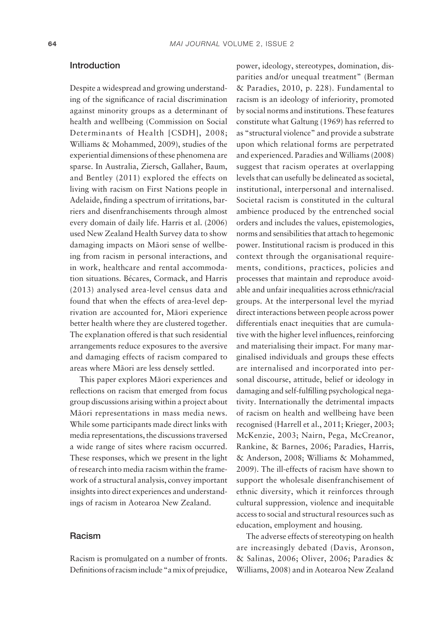#### Introduction

Despite a widespread and growing understanding of the significance of racial discrimination against minority groups as a determinant of health and wellbeing (Commission on Social Determinants of Health [CSDH], 2008; Williams & Mohammed, 2009), studies of the experiential dimensions of these phenomena are sparse. In Australia, Ziersch, Gallaher, Baum, and Bentley (2011) explored the effects on living with racism on First Nations people in Adelaide, finding a spectrum of irritations, barriers and disenfranchisements through almost every domain of daily life. Harris et al. (2006) used New Zealand Health Survey data to show damaging impacts on Mäori sense of wellbeing from racism in personal interactions, and in work, healthcare and rental accommodation situations. Bécares, Cormack, and Harris (2013) analysed area- level census data and found that when the effects of area- level deprivation are accounted for, Mäori experience better health where they are clustered together. The explanation offered is that such residential arrangements reduce exposures to the aversive and damaging effects of racism compared to areas where Mäori are less densely settled.

This paper explores Mäori experiences and reflections on racism that emerged from focus group discussions arising within a project about Mäori representations in mass media news. While some participants made direct links with media representations, the discussions traversed a wide range of sites where racism occurred. These responses, which we present in the light of research into media racism within the framework of a structural analysis, convey important insights into direct experiences and understandings of racism in Aotearoa New Zealand.

#### Racism

Racism is promulgated on a number of fronts. Definitions of racism include "a mix of prejudice,

power, ideology, stereotypes, domination, disparities and/or unequal treatment" (Berman & Paradies, 2010, p. 228). Fundamental to racism is an ideology of inferiority, promoted by social norms and institutions. These features constitute what Galtung (1969) has referred to as "structural violence" and provide a substrate upon which relational forms are perpetrated and experienced. Paradies and Williams (2008) suggest that racism operates at overlapping levels that can usefully be delineated as societal, institutional, interpersonal and internalised. Societal racism is constituted in the cultural ambience produced by the entrenched social orders and includes the values, epistemologies, norms and sensibilities that attach to hegemonic power. Institutional racism is produced in this context through the organisational requirements, conditions, practices, policies and processes that maintain and reproduce avoidable and unfair inequalities across ethnic/racial groups. At the interpersonal level the myriad direct interactions between people across power differentials enact inequities that are cumulative with the higher level influences, reinforcing and materialising their impact. For many marginalised individuals and groups these effects are internalised and incorporated into personal discourse, attitude, belief or ideology in damaging and self-fulfilling psychological negativity. Internationally the detrimental impacts of racism on health and wellbeing have been recognised (Harrell et al., 2011; Krieger, 2003; McKenzie, 2003; Nairn, Pega, McCreanor, Rankine, & Barnes, 2006; Paradies, Harris, & Anderson, 2008; Williams & Mohammed, 2009). The ill-effects of racism have shown to support the wholesale disenfranchisement of ethnic diversity, which it reinforces through cultural suppression, violence and inequitable access to social and structural resources such as education, employment and housing.

The adverse effects of stereotyping on health are increasingly debated (Davis, Aronson, & Salinas, 2006; Oliver, 2006; Paradies & Williams, 2008) and in Aotearoa New Zealand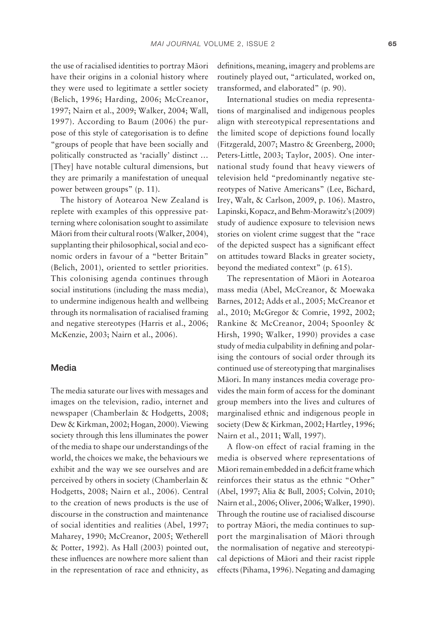the use of racialised identities to portray Mäori have their origins in a colonial history where they were used to legitimate a settler society (Belich, 1996; Harding, 2006; McCreanor, 1997; Nairn et al., 2009; Walker, 2004; Wall, 1997). According to Baum (2006) the purpose of this style of categorisation is to define "groups of people that have been socially and politically constructed as 'racially' distinct … [They] have notable cultural dimensions, but they are primarily a manifestation of unequal power between groups" (p. 11).

The history of Aotearoa New Zealand is replete with examples of this oppressive patterning where colonisation sought to assimilate Mäori from their cultural roots (Walker, 2004), supplanting their philosophical, social and economic orders in favour of a "better Britain" (Belich, 2001), oriented to settler priorities. This colonising agenda continues through social institutions (including the mass media), to undermine indigenous health and wellbeing through its normalisation of racialised framing and negative stereotypes (Harris et al., 2006; McKenzie, 2003; Nairn et al., 2006).

#### Media

The media saturate our lives with messages and images on the television, radio, internet and newspaper (Chamberlain & Hodgetts, 2008; Dew & Kirkman, 2002; Hogan, 2000). Viewing society through this lens illuminates the power of the media to shape our understandings of the world, the choices we make, the behaviours we exhibit and the way we see ourselves and are perceived by others in society (Chamberlain & Hodgetts, 2008; Nairn et al., 2006). Central to the creation of news products is the use of discourse in the construction and maintenance of social identities and realities (Abel, 1997; Maharey, 1990; McCreanor, 2005; Wetherell & Potter, 1992). As Hall (2003) pointed out, these influences are nowhere more salient than in the representation of race and ethnicity, as definitions, meaning, imagery and problems are routinely played out, "articulated, worked on, transformed, and elaborated" (p. 90).

International studies on media representations of marginalised and indigenous peoples align with stereotypical representations and the limited scope of depictions found locally (Fitzgerald, 2007; Mastro & Greenberg, 2000; Peters-Little, 2003; Taylor, 2005). One international study found that heavy viewers of television held "predominantly negative stereotypes of Native Americans" (Lee, Bichard, Irey, Walt, & Carlson, 2009, p. 106). Mastro, Lapinski, Kopacz, and Behm-Morawitz's (2009) study of audience exposure to television news stories on violent crime suggest that the "race of the depicted suspect has a significant effect on attitudes toward Blacks in greater society, beyond the mediated context" (p. 615).

The representation of Mäori in Aotearoa mass media (Abel, McCreanor, & Moewaka Barnes, 2012; Adds et al., 2005; McCreanor et al., 2010; McGregor & Comrie, 1992, 2002; Rankine & McCreanor, 2004; Spoonley & Hirsh, 1990; Walker, 1990) provides a case study of media culpability in defining and polarising the contours of social order through its continued use of stereotyping that marginalises Mäori. In many instances media coverage provides the main form of access for the dominant group members into the lives and cultures of marginalised ethnic and indigenous people in society (Dew & Kirkman, 2002; Hartley, 1996; Nairn et al., 2011; Wall, 1997).

A flow- on effect of racial framing in the media is observed where representations of Māori remain embedded in a deficit frame which reinforces their status as the ethnic "Other" (Abel, 1997; Alia & Bull, 2005; Colvin, 2010; Nairn et al., 2006; Oliver, 2006; Walker, 1990). Through the routine use of racialised discourse to portray Mäori, the media continues to support the marginalisation of Mäori through the normalisation of negative and stereotypical depictions of Mäori and their racist ripple effects (Pihama, 1996). Negating and damaging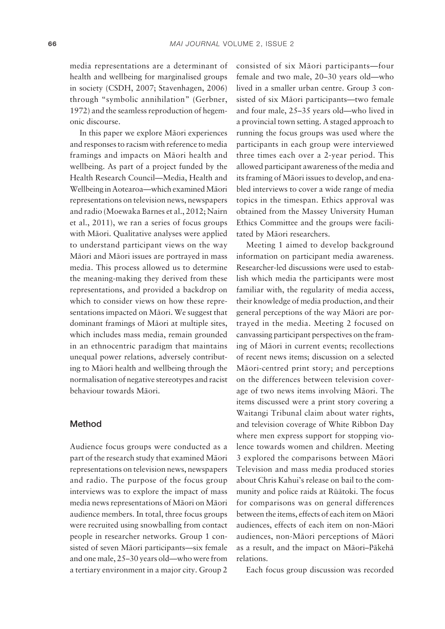media representations are a determinant of health and wellbeing for marginalised groups in society (CSDH, 2007; Stavenhagen, 2006) through "symbolic annihilation" (Gerbner, 1972) and the seamless reproduction of hegemonic discourse.

In this paper we explore Mäori experiences and responses to racism with reference to media framings and impacts on Mäori health and wellbeing. As part of a project funded by the Health Research Council—Media, Health and Wellbeing in Aotearoa—which examined Mäori representations on television news, newspapers and radio (Moewaka Barnes et al., 2012; Nairn et al., 2011), we ran a series of focus groups with Mäori. Qualitative analyses were applied to understand participant views on the way Mäori and Mäori issues are portrayed in mass media. This process allowed us to determine the meaning-making they derived from these representations, and provided a backdrop on which to consider views on how these representations impacted on Mäori. We suggest that dominant framings of Mäori at multiple sites, which includes mass media, remain grounded in an ethnocentric paradigm that maintains unequal power relations, adversely contributing to Mäori health and wellbeing through the normalisation of negative stereotypes and racist behaviour towards Mäori.

## Method

Audience focus groups were conducted as a part of the research study that examined Mäori representations on television news, newspapers and radio. The purpose of the focus group interviews was to explore the impact of mass media news representations of Mäori on Mäori audience members. In total, three focus groups were recruited using snowballing from contact people in researcher networks. Group 1 consisted of seven Mäori participants—six female and one male, 25–30 years old—who were from a tertiary environment in a major city. Group 2

consisted of six Mäori participants—four female and two male, 20–30 years old—who lived in a smaller urban centre. Group 3 consisted of six Mäori participants—two female and four male, 25–35 years old—who lived in a provincial town setting. A staged approach to running the focus groups was used where the participants in each group were interviewed three times each over a 2-year period. This allowed participant awareness of the media and its framing of Mäori issues to develop, and enabled interviews to cover a wide range of media topics in the timespan. Ethics approval was obtained from the Massey University Human Ethics Committee and the groups were facilitated by Mäori researchers.

Meeting 1 aimed to develop background information on participant media awareness. Researcher- led discussions were used to establish which media the participants were most familiar with, the regularity of media access, their knowledge of media production, and their general perceptions of the way Mäori are portrayed in the media. Meeting 2 focused on canvassing participant perspectives on the framing of Mäori in current events; recollections of recent news items; discussion on a selected Mäori- centred print story; and perceptions on the differences between television coverage of two news items involving Mäori. The items discussed were a print story covering a Waitangi Tribunal claim about water rights, and television coverage of White Ribbon Day where men express support for stopping violence towards women and children. Meeting 3 explored the comparisons between Mäori Television and mass media produced stories about Chris Kahui's release on bail to the community and police raids at Rüätoki. The focus for comparisons was on general differences between the items, effects of each item on Mäori audiences, effects of each item on non-Māori audiences, non-Māori perceptions of Māori as a result, and the impact on Mäori–Päkehä relations.

Each focus group discussion was recorded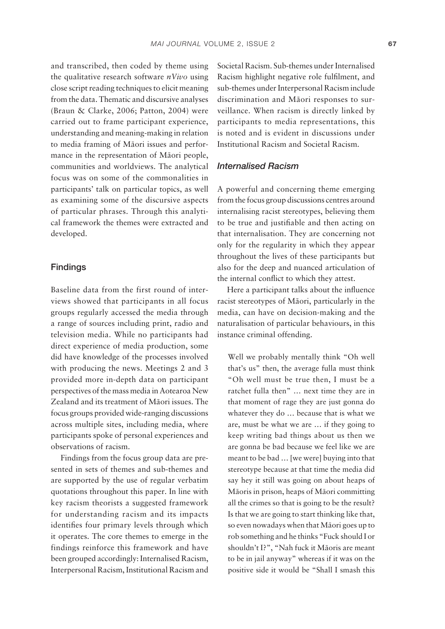and transcribed, then coded by theme using the qualitative research software *nVivo* using close script reading techniques to elicit meaning from the data. Thematic and discursive analyses (Braun & Clarke, 2006; Patton, 2004) were carried out to frame participant experience, understanding and meaning- making in relation to media framing of Mäori issues and performance in the representation of Mäori people, communities and worldviews. The analytical focus was on some of the commonalities in participants' talk on particular topics, as well as examining some of the discursive aspects of particular phrases. Through this analytical framework the themes were extracted and developed.

# Findings

Baseline data from the first round of interviews showed that participants in all focus groups regularly accessed the media through a range of sources including print, radio and television media. While no participants had direct experience of media production, some did have knowledge of the processes involved with producing the news. Meetings 2 and 3 provided more in- depth data on participant perspectives of the mass media in Aotearoa New Zealand and its treatment of Mäori issues. The focus groups provided wide- ranging discussions across multiple sites, including media, where participants spoke of personal experiences and observations of racism.

Findings from the focus group data are presented in sets of themes and sub- themes and are supported by the use of regular verbatim quotations throughout this paper. In line with key racism theorists a suggested framework for understanding racism and its impacts identifies four primary levels through which it operates. The core themes to emerge in the findings reinforce this framework and have been grouped accordingly: Internalised Racism, Interpersonal Racism, Institutional Racism and Societal Racism. Sub- themes under Internalised Racism highlight negative role fulfilment, and sub- themes under Interpersonal Racism include discrimination and Mäori responses to surveillance. When racism is directly linked by participants to media representations, this is noted and is evident in discussions under Institutional Racism and Societal Racism.

# *Internalised Racism*

A powerful and concerning theme emerging from the focus group discussions centres around internalising racist stereotypes, believing them to be true and justifiable and then acting on that internalisation. They are concerning not only for the regularity in which they appear throughout the lives of these participants but also for the deep and nuanced articulation of the internal conflict to which they attest.

Here a participant talks about the influence racist stereotypes of Mäori, particularly in the media, can have on decision-making and the naturalisation of particular behaviours, in this instance criminal offending.

Well we probably mentally think "Oh well that's us" then, the average fulla must think "Oh well must be true then, I must be a ratchet fulla then" … next time they are in that moment of rage they are just gonna do whatever they do … because that is what we are, must be what we are … if they going to keep writing bad things about us then we are gonna be bad because we feel like we are meant to be bad … [we were] buying into that stereotype because at that time the media did say hey it still was going on about heaps of Mäoris in prison, heaps of Mäori committing all the crimes so that is going to be the result? Is that we are going to start thinking like that, so even nowadays when that Mäori goes up to rob something and he thinks "Fuck should I or shouldn't I?", "Nah fuck it Mäoris are meant to be in jail anyway" whereas if it was on the positive side it would be "Shall I smash this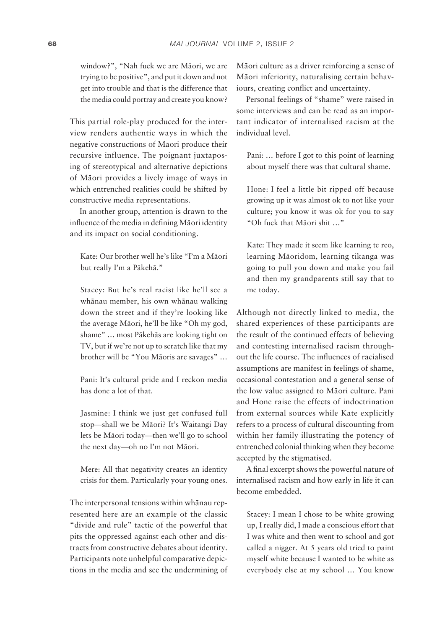window?", "Nah fuck we are Mäori, we are trying to be positive", and put it down and not get into trouble and that is the difference that the media could portray and create you know?

This partial role-play produced for the interview renders authentic ways in which the negative constructions of Mäori produce their recursive influence. The poignant juxtaposing of stereotypical and alternative depictions of Mäori provides a lively image of ways in which entrenched realities could be shifted by constructive media representations.

In another group, attention is drawn to the influence of the media in defining Māori identity and its impact on social conditioning.

Kate: Our brother well he's like "I'm a Mäori but really I'm a Päkehä."

Stacey: But he's real racist like he'll see a whänau member, his own whänau walking down the street and if they're looking like the average Mäori, he'll be like "Oh my god, shame" … most Päkehäs are looking tight on TV, but if we're not up to scratch like that my brother will be "You Mäoris are savages" …

Pani: It's cultural pride and I reckon media has done a lot of that.

Jasmine: I think we just get confused full stop—shall we be Mäori? It's Waitangi Day lets be Mäori today—then we'll go to school the next day—oh no I'm not Mäori.

Mere: All that negativity creates an identity crisis for them. Particularly your young ones.

The interpersonal tensions within whänau represented here are an example of the classic "divide and rule" tactic of the powerful that pits the oppressed against each other and distracts from constructive debates about identity. Participants note unhelpful comparative depictions in the media and see the undermining of Mäori culture as a driver reinforcing a sense of Mäori inferiority, naturalising certain behaviours, creating conflict and uncertainty.

Personal feelings of "shame" were raised in some interviews and can be read as an important indicator of internalised racism at the individual level.

Pani: … before I got to this point of learning about myself there was that cultural shame.

Hone: I feel a little bit ripped off because growing up it was almost ok to not like your culture; you know it was ok for you to say "Oh fuck that Mäori shit …"

Kate: They made it seem like learning te reo, learning Mäoridom, learning tikanga was going to pull you down and make you fail and then my grandparents still say that to me today.

Although not directly linked to media, the shared experiences of these participants are the result of the continued effects of believing and contesting internalised racism throughout the life course. The influences of racialised assumptions are manifest in feelings of shame, occasional contestation and a general sense of the low value assigned to Mäori culture. Pani and Hone raise the effects of indoctrination from external sources while Kate explicitly refers to a process of cultural discounting from within her family illustrating the potency of entrenched colonial thinking when they become accepted by the stigmatised.

A final excerpt shows the powerful nature of internalised racism and how early in life it can become embedded.

Stacey: I mean I chose to be white growing up, I really did, I made a conscious effort that I was white and then went to school and got called a nigger. At 5 years old tried to paint myself white because I wanted to be white as everybody else at my school … You know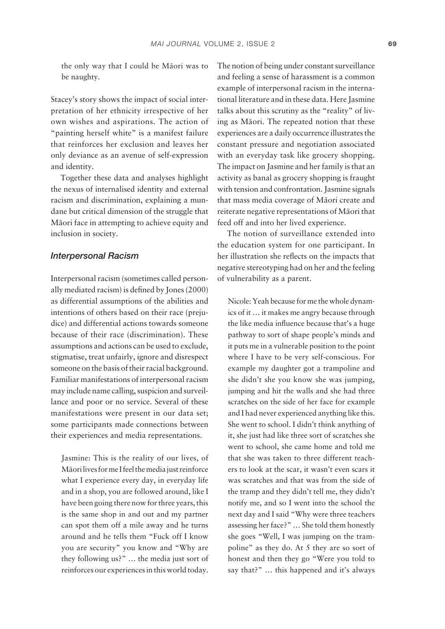the only way that I could be Mäori was to be naughty.

Stacey's story shows the impact of social interpretation of her ethnicity irrespective of her own wishes and aspirations. The action of "painting herself white" is a manifest failure that reinforces her exclusion and leaves her only deviance as an avenue of self-expression and identity.

Together these data and analyses highlight the nexus of internalised identity and external racism and discrimination, explaining a mundane but critical dimension of the struggle that Mäori face in attempting to achieve equity and inclusion in society.

#### *Interpersonal Racism*

Interpersonal racism (sometimes called personally mediated racism) is defined by Jones (2000) as differential assumptions of the abilities and intentions of others based on their race (prejudice) and differential actions towards someone because of their race (discrimination). These assumptions and actions can be used to exclude, stigmatise, treat unfairly, ignore and disrespect someone on the basis of their racial background. Familiar manifestations of interpersonal racism may include name calling, suspicion and surveillance and poor or no service. Several of these manifestations were present in our data set; some participants made connections between their experiences and media representations.

Jasmine: This is the reality of our lives, of Mäori lives for me I feel the media just reinforce what I experience every day, in everyday life and in a shop, you are followed around, like I have been going there now for three years, this is the same shop in and out and my partner can spot them off a mile away and he turns around and he tells them "Fuck off I know you are security" you know and "Why are they following us?" … the media just sort of reinforces our experiences in this world today. The notion of being under constant surveillance and feeling a sense of harassment is a common example of interpersonal racism in the international literature and in these data. Here Jasmine talks about this scrutiny as the "reality" of living as Mäori. The repeated notion that these experiences are a daily occurrence illustrates the constant pressure and negotiation associated with an everyday task like grocery shopping. The impact on Jasmine and her family is that an activity as banal as grocery shopping is fraught with tension and confrontation. Jasmine signals that mass media coverage of Mäori create and reiterate negative representations of Mäori that feed off and into her lived experience.

The notion of surveillance extended into the education system for one participant. In her illustration she reflects on the impacts that negative stereotyping had on her and the feeling of vulnerability as a parent.

Nicole: Yeah because for me the whole dynamics of it … it makes me angry because through the like media influence because that's a huge pathway to sort of shape people's minds and it puts me in a vulnerable position to the point where I have to be very self-conscious. For example my daughter got a trampoline and she didn't she you know she was jumping, jumping and hit the walls and she had three scratches on the side of her face for example and I had never experienced anything like this. She went to school. I didn't think anything of it, she just had like three sort of scratches she went to school, she came home and told me that she was taken to three different teachers to look at the scar, it wasn't even scars it was scratches and that was from the side of the tramp and they didn't tell me, they didn't notify me, and so I went into the school the next day and I said "Why were three teachers assessing her face?" … She told them honestly she goes "Well, I was jumping on the trampoline" as they do. At 5 they are so sort of honest and then they go "Were you told to say that?" … this happened and it's always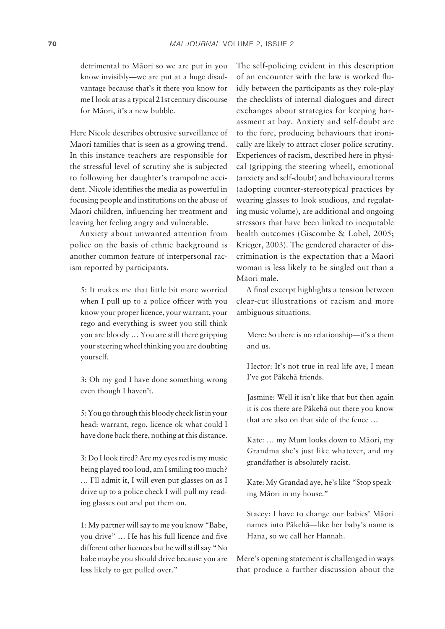detrimental to Mäori so we are put in you know invisibly—we are put at a huge disadvantage because that's it there you know for me I look at as a typical 21st century discourse for Mäori, it's a new bubble.

Here Nicole describes obtrusive surveillance of Mäori families that is seen as a growing trend. In this instance teachers are responsible for the stressful level of scrutiny she is subjected to following her daughter's trampoline accident. Nicole identifies the media as powerful in focusing people and institutions on the abuse of Mäori children, influencing her treatment and leaving her feeling angry and vulnerable.

Anxiety about unwanted attention from police on the basis of ethnic background is another common feature of interpersonal racism reported by participants.

5: It makes me that little bit more worried when I pull up to a police officer with you know your proper licence, your warrant, your rego and everything is sweet you still think you are bloody … You are still there gripping your steering wheel thinking you are doubting yourself.

3: Oh my god I have done something wrong even though I haven't.

5: You go through this bloody check list in your head: warrant, rego, licence ok what could I have done back there, nothing at this distance.

3: Do I look tired? Are my eyes red is my music being played too loud, am I smiling too much? … I'll admit it, I will even put glasses on as I drive up to a police check I will pull my reading glasses out and put them on.

1: My partner will say to me you know "Babe, you drive" ... He has his full licence and five different other licences but he will still say "No babe maybe you should drive because you are less likely to get pulled over."

The self-policing evident in this description of an encounter with the law is worked fluidly between the participants as they role-play the checklists of internal dialogues and direct exchanges about strategies for keeping harassment at bay. Anxiety and self- doubt are to the fore, producing behaviours that ironically are likely to attract closer police scrutiny. Experiences of racism, described here in physical (gripping the steering wheel), emotional (anxiety and self- doubt) and behavioural terms (adopting counter- stereotypical practices by wearing glasses to look studious, and regulating music volume), are additional and ongoing stressors that have been linked to inequitable health outcomes (Giscombe & Lobel, 2005; Krieger, 2003). The gendered character of discrimination is the expectation that a Mäori woman is less likely to be singled out than a Mäori male.

A final excerpt highlights a tension between clear- cut illustrations of racism and more ambiguous situations.

Mere: So there is no relationship—it's a them and us.

Hector: It's not true in real life aye, I mean I've got Päkehä friends.

Jasmine: Well it isn't like that but then again it is cos there are Päkehä out there you know that are also on that side of the fence …

Kate: … my Mum looks down to Mäori, my Grandma she's just like whatever, and my grandfather is absolutely racist.

Kate: My Grandad aye, he's like "Stop speaking Mäori in my house."

Stacey: I have to change our babies' Mäori names into Päkehä—like her baby's name is Hana, so we call her Hannah.

Mere's opening statement is challenged in ways that produce a further discussion about the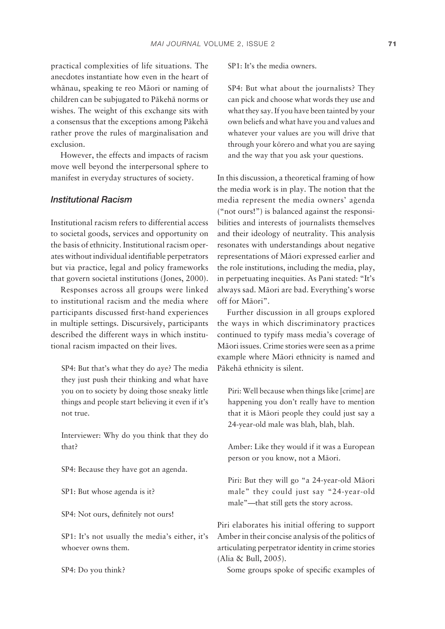practical complexities of life situations. The anecdotes instantiate how even in the heart of whänau, speaking te reo Mäori or naming of children can be subjugated to Päkehä norms or wishes. The weight of this exchange sits with a consensus that the exceptions among Päkehä rather prove the rules of marginalisation and exclusion.

However, the effects and impacts of racism move well beyond the interpersonal sphere to manifest in everyday structures of society.

#### *Institutional Racism*

Institutional racism refers to differential access to societal goods, services and opportunity on the basis of ethnicity. Institutional racism operates without individual identifiable perpetrators but via practice, legal and policy frameworks that govern societal institutions (Jones, 2000).

Responses across all groups were linked to institutional racism and the media where participants discussed first-hand experiences in multiple settings. Discursively, participants described the different ways in which institutional racism impacted on their lives.

SP4: But that's what they do aye? The media they just push their thinking and what have you on to society by doing those sneaky little things and people start believing it even if it's not true.

Interviewer: Why do you think that they do that?

SP4: Because they have got an agenda.

SP1: But whose agenda is it?

SP4: Not ours, definitely not ours!

SP1: It's not usually the media's either, it's whoever owns them.

SP4: Do you think?

SP1: It's the media owners.

SP4: But what about the journalists? They can pick and choose what words they use and what they say. If you have been tainted by your own beliefs and what have you and values and whatever your values are you will drive that through your körero and what you are saying and the way that you ask your questions.

In this discussion, a theoretical framing of how the media work is in play. The notion that the media represent the media owners' agenda ("not ours!") is balanced against the responsibilities and interests of journalists themselves and their ideology of neutrality. This analysis resonates with understandings about negative representations of Mäori expressed earlier and the role institutions, including the media, play, in perpetuating inequities. As Pani stated: "It's always sad. Mäori are bad. Everything's worse off for Mäori".

Further discussion in all groups explored the ways in which discriminatory practices continued to typify mass media's coverage of Mäori issues. Crime stories were seen as a prime example where Mäori ethnicity is named and Päkehä ethnicity is silent.

Piri: Well because when things like [crime] are happening you don't really have to mention that it is Mäori people they could just say a 24- year- old male was blah, blah, blah.

Amber: Like they would if it was a European person or you know, not a Mäori.

Piri: But they will go "a 24-year-old Māori male" they could just say "24-year-old male"—that still gets the story across.

Piri elaborates his initial offering to support Amber in their concise analysis of the politics of articulating perpetrator identity in crime stories (Alia & Bull, 2005).

Some groups spoke of specific examples of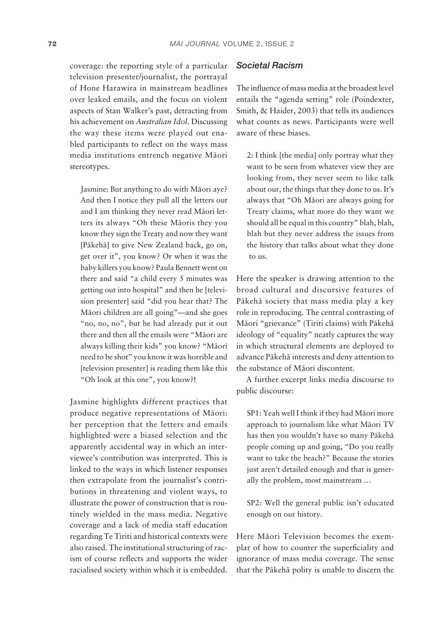coverage: the reporting style of a particular television presenter/journalist, the portrayal of Hone Harawira in mainstream headlines over leaked emails, and the focus on violent aspects of Stan Walker's past, detracting from his achievement on *Australian Idol*. Discussing the way these items were played out enabled participants to reflect on the ways mass media institutions entrench negative Mäori stereotypes.

Jasmine: But anything to do with Mäori aye? And then I notice they pull all the letters out and I am thinking they never read Mäori letters its always "Oh these Mäoris they you know they sign the Treaty and now they want [Päkehä] to give New Zealand back, go on, get over it", you know? Or when it was the baby killers you know? Paula Bennett went on there and said "a child every 5 minutes was getting out into hospital" and then he [television presenter] said "did you hear that? The Mäori children are all going"—and she goes "no, no, no", but he had already put it out there and then all the emails were "Mäori are always killing their kids" you know? "Mäori need to be shot" you know it was horrible and [television presenter] is reading them like this "Oh look at this one", you know?!

Jasmine highlights different practices that produce negative representations of Mäori: her perception that the letters and emails highlighted were a biased selection and the apparently accidental way in which an interviewee's contribution was interpreted. This is linked to the ways in which listener responses then extrapolate from the journalist's contributions in threatening and violent ways, to illustrate the power of construction that is routinely wielded in the mass media. Negative coverage and a lack of media staff education regarding Te Tiriti and historical contexts were also raised. The institutional structuring of racism of course reflects and supports the wider racialised society within which it is embedded.

#### *Societal Racism*

The influence of mass media at the broadest level entails the "agenda setting" role (Poindexter, Smith, & Haider, 2003) that tells its audiences what counts as news. Participants were well aware of these biases.

2: I think [the media] only portray what they want to be seen from whatever view they are looking from, they never seem to like talk about our, the things that they done to us. It's always that "Oh Mäori are always going for Treaty claims, what more do they want we should all be equal in this country" blah, blah, blah but they never address the issues from the history that talks about what they done to us.

Here the speaker is drawing attention to the broad cultural and discursive features of Päkehä society that mass media play a key role in reproducing. The central contrasting of Mäori "grievance" (Tiriti claims) with Päkehä ideology of "equality" neatly captures the way in which structural elements are deployed to advance Päkehä interests and deny attention to the substance of Mäori discontent.

A further excerpt links media discourse to public discourse:

SP1: Yeah well I think if they had Mäori more approach to journalism like what Mäori TV has then you wouldn't have so many Päkehä people coming up and going, "Do you really want to take the beach?" Because the stories just aren't detailed enough and that is generally the problem, most mainstream …

SP2: Well the general public isn't educated enough on our history.

Here Mäori Television becomes the exemplar of how to counter the superficiality and ignorance of mass media coverage. The sense that the Päkehä polity is unable to discern the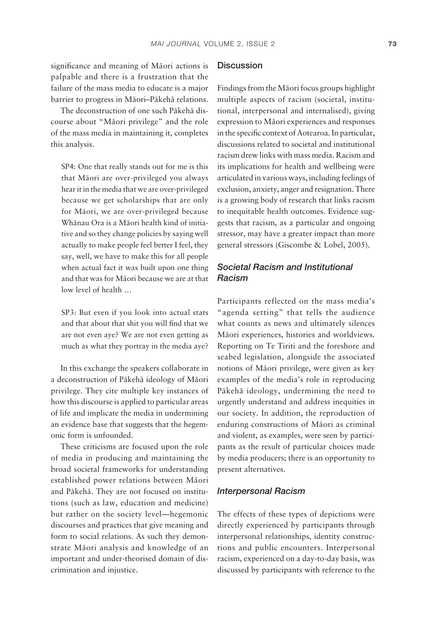significance and meaning of Māori actions is palpable and there is a frustration that the failure of the mass media to educate is a major barrier to progress in Mäori–Päkehä relations.

The deconstruction of one such Päkehä discourse about "Mäori privilege" and the role of the mass media in maintaining it, completes this analysis.

SP4: One that really stands out for me is this that Mäori are over- privileged you always hear it in the media that we are over- privileged because we get scholarships that are only for Māori, we are over-privileged because Whänau Ora is a Mäori health kind of initiative and so they change policies by saying well actually to make people feel better I feel, they say, well, we have to make this for all people when actual fact it was built upon one thing and that was for Mäori because we are at that low level of health …

SP3: But even if you look into actual stats and that about that shit you will find that we are not even aye? We are not even getting as much as what they portray in the media aye?

In this exchange the speakers collaborate in a deconstruction of Päkehä ideology of Mäori privilege. They cite multiple key instances of how this discourse is applied to particular areas of life and implicate the media in undermining an evidence base that suggests that the hegemonic form is unfounded.

These criticisms are focused upon the role of media in producing and maintaining the broad societal frameworks for understanding established power relations between Mäori and Päkehä. They are not focused on institutions (such as law, education and medicine) but rather on the society level—hegemonic discourses and practices that give meaning and form to social relations. As such they demonstrate Mäori analysis and knowledge of an important and under-theorised domain of discrimination and injustice.

# **Discussion**

Findings from the Mäori focus groups highlight multiple aspects of racism (societal, institutional, interpersonal and internalised), giving expression to Mäori experiences and responses in the specific context of Aotearoa. In particular, discussions related to societal and institutional racism drew links with mass media. Racism and its implications for health and wellbeing were articulated in various ways, including feelings of exclusion, anxiety, anger and resignation. There is a growing body of research that links racism to inequitable health outcomes. Evidence suggests that racism, as a particular and ongoing stressor, may have a greater impact than more general stressors (Giscombe & Lobel, 2005).

# *Societal Racism and Institutional Racism*

Participants reflected on the mass media's "agenda setting" that tells the audience what counts as news and ultimately silences Mäori experiences, histories and worldviews. Reporting on Te Tiriti and the foreshore and seabed legislation, alongside the associated notions of Mäori privilege, were given as key examples of the media's role in reproducing Päkehä ideology, undermining the need to urgently understand and address inequities in our society. In addition, the reproduction of enduring constructions of Mäori as criminal and violent, as examples, were seen by participants as the result of particular choices made by media producers; there is an opportunity to present alternatives.

#### *Interpersonal Racism*

The effects of these types of depictions were directly experienced by participants through interpersonal relationships, identity constructions and public encounters. Interpersonal racism, experienced on a day-to-day basis, was discussed by participants with reference to the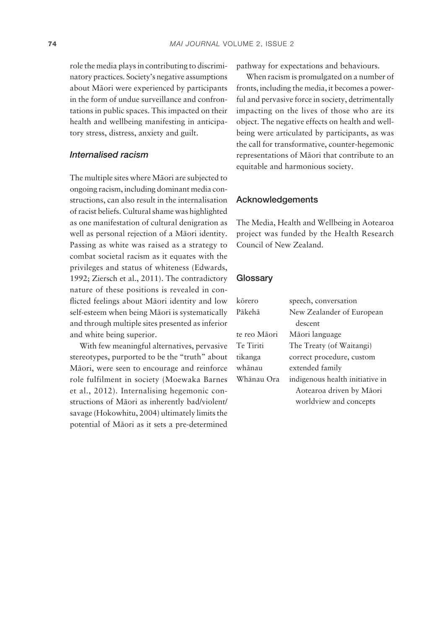role the media plays in contributing to discriminatory practices. Society's negative assumptions about Mäori were experienced by participants in the form of undue surveillance and confrontations in public spaces. This impacted on their health and wellbeing manifesting in anticipatory stress, distress, anxiety and guilt.

# *Internalised racism*

The multiple sites where Mäori are subjected to ongoing racism, including dominant media constructions, can also result in the internalisation of racist beliefs. Cultural shame was highlighted as one manifestation of cultural denigration as well as personal rejection of a Mäori identity. Passing as white was raised as a strategy to combat societal racism as it equates with the privileges and status of whiteness (Edwards, 1992; Ziersch et al., 2011). The contradictory nature of these positions is revealed in conflicted feelings about Māori identity and low self-esteem when being Māori is systematically and through multiple sites presented as inferior and white being superior.

With few meaningful alternatives, pervasive stereotypes, purported to be the "truth" about Mäori, were seen to encourage and reinforce role fulfilment in society (Moewaka Barnes et al., 2012). Internalising hegemonic constructions of Mäori as inherently bad/violent/ savage (Hokowhitu, 2004) ultimately limits the potential of Mäori as it sets a pre- determined pathway for expectations and behaviours.

When racism is promulgated on a number of fronts, including the media, it becomes a powerful and pervasive force in society, detrimentally impacting on the lives of those who are its object. The negative effects on health and wellbeing were articulated by participants, as was the call for transformative, counter- hegemonic representations of Mäori that contribute to an equitable and harmonious society.

#### Acknowledgements

The Media, Health and Wellbeing in Aotearoa project was funded by the Health Research Council of New Zealand.

# **Glossarv**

| kōrero       | speech, conversation            |
|--------------|---------------------------------|
| Pākehā       | New Zealander of European       |
|              | descent                         |
| te reo Māori | Māori language                  |
| Te Tiriti    | The Treaty (of Waitangi)        |
| tikanga      | correct procedure, custom       |
| whānau       | extended family                 |
| Whānau Ora   | indigenous health initiative in |
|              | Aotearoa driven by Māori        |
|              | worldview and concepts          |
|              |                                 |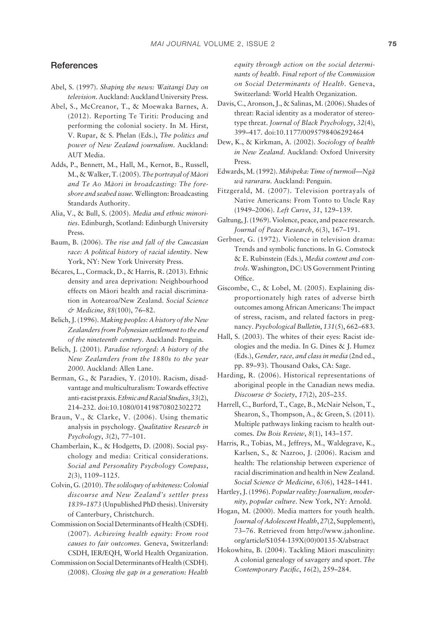#### References

- Abel, S. (1997). *Shaping the news: Waitangi Day on television*. Auckland: Auckland University Press.
- Abel, S., McCreanor, T., & Moewaka Barnes, A. (2012). Reporting Te Tiriti: Producing and performing the colonial society. In M. Hirst, V. Rupar, & S. Phelan (Eds.), *The politics and power of New Zealand journalism*. Auckland: AUT Media.
- Adds, P., Bennett, M., Hall, M., Kernot, B., Russell, M., & Walker, T. (2005). *The portrayal of Mäori and Te Ao Mäori in broadcasting: The foreshore and seabed issue.* Wellington: Broadcasting Standards Authority.
- Alia, V., & Bull, S. (2005). *Media and ethnic minorities*. Edinburgh, Scotland: Edinburgh University Press.
- Baum, B. (2006). *The rise and fall of the Caucasian race: A political history of racial identity*. New York, NY: New York University Press.
- Bécares, L., Cormack, D., & Harris, R. (2013). Ethnic density and area deprivation: Neighbourhood effects on Mäori health and racial discrimination in Aotearoa/New Zealand. *Social Science & Medicine*, *88*(100), 76–82.
- Belich, J. (1996). *Making peoples: A history of the New Zealanders from Polynesian settlement to the end of the nineteenth century*. Auckland: Penguin.
- Belich, J. (2001). *Paradise reforged: A history of the New Zealanders from the 1880s to the year 2000*. Auckland: Allen Lane.
- Berman, G., & Paradies, Y. (2010). Racism, disadvantage and multiculturalism: Towards effective anti- racist praxis. *Ethnic and Racial Studies*, *33*(2), 214–232. doi:10.1080/01419870802302272
- Braun, V., & Clarke, V. (2006). Using thematic analysis in psychology. *Qualitative Research in Psychology*, *3*(2), 77–101.
- Chamberlain, K., & Hodgetts, D. (2008). Social psychology and media: Critical considerations. *Social and Personality Psychology Compass*, *2*(3), 1109–1125.
- Colvin, G. (2010). *The soliloquy of whiteness: Colonial discourse and New Zealand's settler press 1839–1873* (Unpublished PhD thesis). University of Canterbury, Christchurch.
- Commission on Social Determinants of Health (CSDH). (2007). *Achieving health equity: From root causes to fair outcomes.* Geneva, Switzerland: CSDH, IER/EQH, World Health Organization.
- Commission on Social Determinants of Health (CSDH). (2008). *Closing the gap in a generation: Health*

*equity through action on the social determinants of health. Final report of the Commission on Social Determinants of Health.* Geneva, Switzerland: World Health Organization.

- Davis, C., Aronson, J., & Salinas, M. (2006). Shades of threat: Racial identity as a moderator of stereotype threat. *Journal of Black Psychology*, *32*(4), 399–417. doi:10.1177/0095798406292464
- Dew, K., & Kirkman, A. (2002). *Sociology of health in New Zealand*. Auckland: Oxford University Press.
- Edwards, M. (1992). *Mihipeka: Time of turmoil—Ngä wä raruraru*. Auckland: Penguin.
- Fitzgerald, M. (2007). Television portrayals of Native Americans: From Tonto to Uncle Ray (1949–2006). *Left Curve*, *31*, 129–139.
- Galtung, J. (1969). Violence, peace, and peace research. *Journal of Peace Research*, *6*(3), 167–191.
- Gerbner, G. (1972). Violence in television drama: Trends and symbolic functions. In G. Comstock & E. Rubinstein (Eds.), *Media content and controls*. Washington, DC: US Government Printing Office.
- Giscombe, C., & Lobel, M. (2005). Explaining disproportionately high rates of adverse birth outcomes among African Americans: The impact of stress, racism, and related factors in pregnancy. *Psychological Bulletin*, *131*(5), 662–683.
- Hall, S. (2003). The whites of their eyes: Racist ideologies and the media. In G. Dines & J. Humez (Eds.), *Gender, race, and class in media* (2nd ed., pp. 89–93). Thousand Oaks, CA: Sage.
- Harding, R. (2006). Historical representations of aboriginal people in the Canadian news media. *Discourse & Society*, *17*(2), 205–235.
- Harrell, C., Burford, T., Cage, B., McNair Nelson, T., Shearon, S., Thompson, A., & Green, S. (2011). Multiple pathways linking racism to health outcomes. *Du Bois Review*, *8*(1), 143–157.
- Harris, R., Tobias, M., Jeffreys, M., Waldegrave, K., Karlsen, S., & Nazroo, J. (2006). Racism and health: The relationship between experience of racial discrimination and health in New Zealand. *Social Science & Medicine*, *63*(6), 1428–1441.
- Hartley, J. (1996). *Popular reality: Journalism, modernity, popular culture*. New York, NY: Arnold.
- Hogan, M. (2000). Media matters for youth health. *Journal of Adolescent Health*, *27*(2, Supplement), 73–76. Retrieved from http://www.jahonline. org/article/S1054- 139X(00)00135- X/abstract
- Hokowhitu, B. (2004). Tackling Mäori masculinity: A colonial genealogy of savagery and sport. *The Contemporary Pacific, 16(2), 259-284.*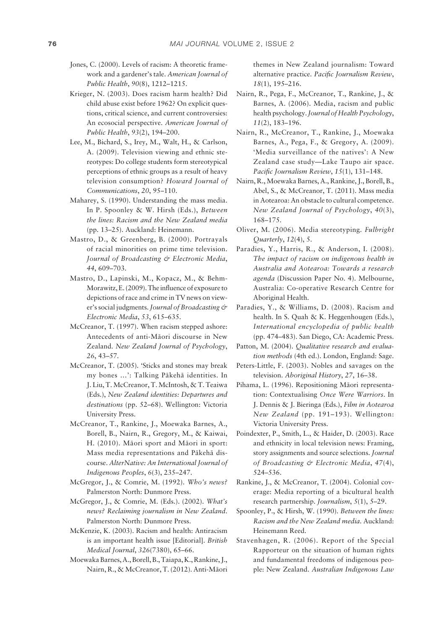- Jones, C. (2000). Levels of racism: A theoretic framework and a gardener's tale. *American Journal of Public Health*, *90*(8), 1212–1215.
- Krieger, N. (2003). Does racism harm health? Did child abuse exist before 1962? On explicit questions, critical science, and current controversies: An ecosocial perspective. *American Journal of Public Health*, *93*(2), 194–200.
- Lee, M., Bichard, S., Irey, M., Walt, H., & Carlson, A. (2009). Television viewing and ethnic stereotypes: Do college students form stereotypical perceptions of ethnic groups as a result of heavy television consumption? *Howard Journal of Communications*, *20*, 95–110.
- Maharey, S. (1990). Understanding the mass media. In P. Spoonley & W. Hirsh (Eds.), *Between the lines: Racism and the New Zealand media* (pp. 13–25). Auckland: Heinemann.
- Mastro, D., & Greenberg, B. (2000). Portrayals of racial minorities on prime time television. *Journal of Broadcasting & Electronic Media*, *44*, 609–703.
- Mastro, D., Lapinski, M., Kopacz, M., & Behm-Morawitz, E. (2009). The influence of exposure to depictions of race and crime in TV news on viewer's social judgments. *Journal of Broadcasting & Electronic Media*, *53*, 615–635.
- McCreanor, T. (1997). When racism stepped ashore: Antecedents of anti-Māori discourse in New Zealand. *New Zealand Journal of Psychology*, *26*, 43–57.
- McCreanor, T. (2005). 'Sticks and stones may break my bones …': Talking Päkehä identities. In J. Liu, T. McCreanor, T. McIntosh, & T. Teaiwa (Eds.), *New Zealand identities: Departures and destinations* (pp. 52–68). Wellington: Victoria University Press.
- McCreanor, T., Rankine, J., Moewaka Barnes, A., Borell, B., Nairn, R., Gregory, M., & Kaiwai, H. (2010). Mäori sport and Mäori in sport: Mass media representations and Päkehä discourse. *AlterNative: An International Journal of Indigenous Peoples*, *6*(3), 235–247.
- McGregor, J., & Comrie, M. (1992). *Who's news?* Palmerston North: Dunmore Press.
- McGregor, J., & Comrie, M. (Eds.). (2002). *What's news? Reclaiming journalism in New Zealand*. Palmerston North: Dunmore Press.
- McKenzie, K. (2003). Racism and health: Antiracism is an important health issue [Editorial]. *British Medical Journal*, *326*(7380), 65–66.
- Moewaka Barnes, A., Borell, B., Taiapa, K., Rankine, J., Nairn, R., & McCreanor, T. (2012). Anti- Mäori

themes in New Zealand journalism: Toward alternative practice. Pacific Journalism Review, *18*(1), 195–216.

- Nairn, R., Pega, F., McCreanor, T., Rankine, J., & Barnes, A. (2006). Media, racism and public health psychology. *Journal of Health Psychology*, *11*(2), 183–196.
- Nairn, R., McCreanor, T., Rankine, J., Moewaka Barnes, A., Pega, F., & Gregory, A. (2009). 'Media surveillance of the natives': A New Zealand case study—Lake Taupo air space. *Pacifi c Journalism Review*, *15*(1), 131–148.
- Nairn, R., Moewaka Barnes, A., Rankine, J., Borell, B., Abel, S., & McCreanor, T. (2011). Mass media in Aotearoa: An obstacle to cultural competence. *New Zealand Journal of Psychology*, *40*(3), 168–175.
- Oliver, M. (2006). Media stereotyping. *Fulbright Quarterly*, *12*(4), 5.
- Paradies, Y., Harris, R., & Anderson, I. (2008). *The impact of racism on indigenous health in Australia and Aotearoa: Towards a research agenda* (Discussion Paper No. 4). Melbourne, Australia: Co- operative Research Centre for Aboriginal Health.
- Paradies, Y., & Williams, D. (2008). Racism and health. In S. Quah & K. Heggenhougen (Eds.), *International encyclopedia of public health* (pp. 474–483). San Diego, CA: Academic Press.
- Patton, M. (2004). *Qualitative research and evaluation methods* (4th ed.). London, England: Sage.
- Peters-Little, F. (2003). Nobles and savages on the television. *Aboriginal History*, *27*, 16–38.
- Pihama, L. (1996). Repositioning Mäori representation: Contextualising *Once Were Warriors*. In J. Dennis & J. Bieringa (Eds.), *Film in Aotearoa New Zealand* (pp. 191–193). Wellington: Victoria University Press.
- Poindexter, P., Smith, L., & Haider, D. (2003). Race and ethnicity in local television news: Framing, story assignments and source selections. *Journal of Broadcasting & Electronic Media*, *47*(4), 524–536.
- Rankine, J., & McCreanor, T. (2004). Colonial coverage: Media reporting of a bicultural health research partnership. *Journalism*, *5*(1), 5–29.
- Spoonley, P., & Hirsh, W. (1990). *Between the lines: Racism and the New Zealand media*. Auckland: Heinemann Reed.
- Stavenhagen, R. (2006). Report of the Special Rapporteur on the situation of human rights and fundamental freedoms of indigenous people: New Zealand. *Australian Indigenous Law*